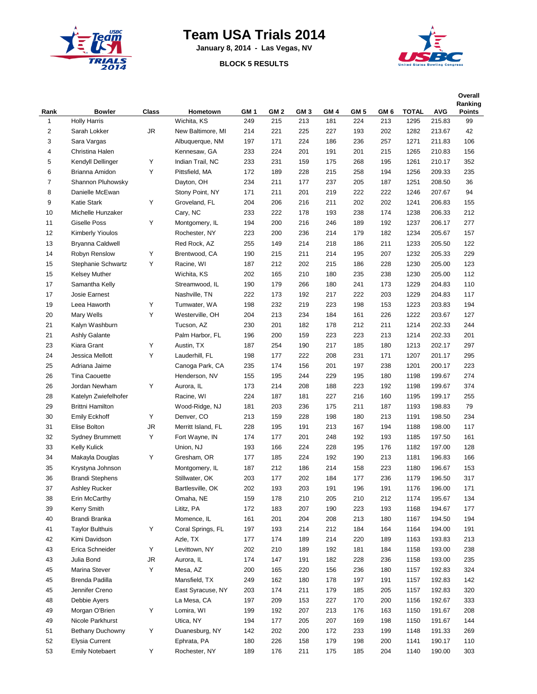

## **Team USA Trials 2014**

**January 8, 2014 - Las Vegas, NV**

## **BLOCK 5 RESULTS**



| Rank | <b>Bowler</b>           | Class     | Hometown           | GM <sub>1</sub> | GM <sub>2</sub> | GM <sub>3</sub> | GM <sub>4</sub> | GM <sub>5</sub> | GM 6 | <b>TOTAL</b> | <b>AVG</b> | Overall<br>Ranking<br><b>Points</b> |
|------|-------------------------|-----------|--------------------|-----------------|-----------------|-----------------|-----------------|-----------------|------|--------------|------------|-------------------------------------|
| 1    | <b>Holly Harris</b>     |           | Wichita, KS        | 249             | 215             | 213             | 181             | 224             | 213  | 1295         | 215.83     | 99                                  |
| 2    | Sarah Lokker            | JR        | New Baltimore, MI  | 214             | 221             | 225             | 227             | 193             | 202  | 1282         | 213.67     | 42                                  |
| 3    | Sara Vargas             |           | Albuquerque, NM    | 197             | 171             | 224             | 186             | 236             | 257  | 1271         | 211.83     | 106                                 |
| 4    | Christina Halen         |           | Kennesaw, GA       | 233             | 224             | 201             | 191             | 201             | 215  | 1265         | 210.83     | 156                                 |
| 5    | Kendyll Dellinger       | Υ         | Indian Trail, NC   | 233             | 231             | 159             | 175             | 268             | 195  | 1261         | 210.17     | 352                                 |
| 6    | Brianna Amidon          | Υ         | Pittsfield, MA     | 172             | 189             | 228             | 215             | 258             | 194  | 1256         | 209.33     | 235                                 |
| 7    | Shannon Pluhowsky       |           | Dayton, OH         | 234             | 211             | 177             | 237             | 205             | 187  | 1251         | 208.50     | 36                                  |
| 8    | Danielle McEwan         |           | Stony Point, NY    | 171             | 211             | 201             | 219             | 222             | 222  | 1246         | 207.67     | 94                                  |
| 9    | <b>Katie Stark</b>      | Υ         | Groveland, FL      | 204             | 206             | 216             | 211             | 202             | 202  | 1241         | 206.83     | 155                                 |
| 10   | Michelle Hunzaker       |           | Cary, NC           | 233             | 222             | 178             | 193             | 238             | 174  | 1238         | 206.33     | 212                                 |
| 11   | <b>Giselle Poss</b>     | Υ         | Montgomery, IL     | 194             | 200             | 216             | 246             | 189             | 192  | 1237         | 206.17     | 277                                 |
| 12   | Kimberly Yioulos        |           | Rochester, NY      | 223             | 200             | 236             | 214             | 179             | 182  | 1234         | 205.67     | 157                                 |
| 13   | Bryanna Caldwell        |           | Red Rock, AZ       | 255             | 149             | 214             | 218             | 186             | 211  | 1233         | 205.50     | 122                                 |
| 14   | Robyn Renslow           | Υ         | Brentwood, CA      | 190             | 215             | 211             | 214             | 195             | 207  | 1232         | 205.33     | 229                                 |
| 15   | Stephanie Schwartz      | Υ         | Racine, WI         | 187             | 212             | 202             | 215             | 186             | 228  | 1230         | 205.00     | 123                                 |
| 15   | <b>Kelsey Muther</b>    |           | Wichita, KS        | 202             | 165             | 210             | 180             | 235             | 238  | 1230         | 205.00     | 112                                 |
| 17   | Samantha Kelly          |           | Streamwood, IL     | 190             | 179             | 266             | 180             | 241             | 173  | 1229         | 204.83     | 110                                 |
| 17   | Josie Earnest           |           | Nashville, TN      | 222             | 173             | 192             | 217             | 222             | 203  | 1229         | 204.83     | 117                                 |
| 19   | Leea Haworth            | Υ         | Tumwater, WA       | 198             | 232             | 219             | 223             | 198             | 153  | 1223         | 203.83     | 194                                 |
| 20   | Mary Wells              | Υ         | Westerville, OH    | 204             | 213             | 234             | 184             | 161             | 226  | 1222         | 203.67     | 127                                 |
| 21   | Kalyn Washburn          |           | Tucson, AZ         | 230             | 201             | 182             | 178             | 212             | 211  | 1214         | 202.33     | 244                                 |
| 21   | <b>Ashly Galante</b>    |           | Palm Harbor, FL    | 196             | 200             | 159             | 223             | 223             | 213  | 1214         | 202.33     | 201                                 |
| 23   | Kiara Grant             | Υ         | Austin, TX         | 187             | 254             | 190             | 217             | 185             | 180  | 1213         | 202.17     | 297                                 |
| 24   | Jessica Mellott         | Υ         | Lauderhill, FL     | 198             | 177             | 222             | 208             | 231             | 171  | 1207         | 201.17     | 295                                 |
| 25   | Adriana Jaime           |           | Canoga Park, CA    | 235             | 174             | 156             | 201             | 197             | 238  | 1201         | 200.17     | 223                                 |
| 26   | <b>Tina Caouette</b>    |           | Henderson, NV      | 155             | 195             | 244             | 229             | 195             | 180  | 1198         | 199.67     | 274                                 |
| 26   | Jordan Newham           | Υ         | Aurora, IL         | 173             | 214             | 208             | 188             | 223             | 192  | 1198         | 199.67     | 374                                 |
| 28   | Katelyn Zwiefelhofer    |           | Racine, WI         | 224             | 187             | 181             | 227             | 216             | 160  | 1195         | 199.17     | 255                                 |
| 29   | <b>Brittni Hamilton</b> |           | Wood-Ridge, NJ     | 181             | 203             | 236             | 175             | 211             | 187  | 1193         | 198.83     | 79                                  |
| 30   | <b>Emily Eckhoff</b>    | Υ         | Denver, CO         | 213             | 159             | 228             | 198             | 180             | 213  | 1191         | 198.50     | 234                                 |
| 31   | Elise Bolton            | <b>JR</b> | Merritt Island, FL | 228             | 195             | 191             | 213             | 167             | 194  | 1188         | 198.00     | 117                                 |
| 32   | <b>Sydney Brummett</b>  | Υ         | Fort Wayne, IN     | 174             | 177             | 201             | 248             | 192             | 193  | 1185         | 197.50     | 161                                 |
| 33   | <b>Kelly Kulick</b>     |           | Union, NJ          | 193             | 166             | 224             | 228             | 195             | 176  | 1182         | 197.00     | 128                                 |
| 34   | Makayla Douglas         | Υ         | Gresham, OR        | 177             | 185             | 224             | 192             | 190             | 213  | 1181         | 196.83     | 166                                 |
| 35   | Krystyna Johnson        |           | Montgomery, IL     | 187             | 212             | 186             | 214             | 158             | 223  | 1180         | 196.67     | 153                                 |
| 36   | <b>Brandi Stephens</b>  |           | Stillwater, OK     | 203             | 177             | 202             | 184             | 177             | 236  | 1179         | 196.50     | 317                                 |
| 37   | Ashley Rucker           |           | Bartlesville, OK   | 202             | 193             | 203             | 191             | 196             | 191  | 1176         | 196.00     | 171                                 |
| 38   | Erin McCarthy           |           | Omaha, NE          | 159             | 178             | 210             | 205             | 210             | 212  | 1174         | 195.67     | 134                                 |
| 39   | Kerry Smith             |           | Lititz, PA         | 172             | 183             | 207             | 190             | 223             | 193  | 1168         | 194.67     | 177                                 |
| 40   | Brandi Branka           |           | Momence, IL        | 161             | 201             | 204             | 208             | 213             | 180  | 1167         | 194.50     | 194                                 |
| 41   | <b>Taylor Bulthuis</b>  | Υ         | Coral Springs, FL  | 197             | 193             | 214             | 212             | 184             | 164  | 1164         | 194.00     | 191                                 |
| 42   | Kimi Davidson           |           | Azle, TX           | 177             | 174             | 189             | 214             | 220             | 189  | 1163         | 193.83     | 213                                 |
| 43   | Erica Schneider         | Υ         | Levittown, NY      | 202             | 210             | 189             | 192             | 181             | 184  | 1158         | 193.00     | 238                                 |
| 43   | Julia Bond              | JR        | Aurora, IL         | 174             | 147             | 191             | 182             | 228             | 236  | 1158         | 193.00     | 235                                 |
| 45   | Marina Stever           | Υ         | Mesa, AZ           | 200             | 165             | 220             | 156             | 236             | 180  | 1157         | 192.83     | 324                                 |
| 45   | Brenda Padilla          |           | Mansfield, TX      | 249             | 162             | 180             | 178             | 197             | 191  | 1157         | 192.83     | 142                                 |
| 45   | Jennifer Creno          |           | East Syracuse, NY  | 203             | 174             | 211             | 179             | 185             | 205  | 1157         | 192.83     | 320                                 |
| 48   | Debbie Ayers            |           | La Mesa, CA        | 197             | 209             | 153             | 227             | 170             | 200  | 1156         | 192.67     | 333                                 |
| 49   | Morgan O'Brien          | Υ         | Lomira, WI         | 199             | 192             | 207             | 213             | 176             | 163  | 1150         | 191.67     | 208                                 |
| 49   | Nicole Parkhurst        |           | Utica, NY          | 194             | 177             | 205             | 207             | 169             | 198  | 1150         | 191.67     | 144                                 |
| 51   | Bethany Duchowny        | Υ         | Duanesburg, NY     | 142             | 202             | 200             | 172             | 233             | 199  | 1148         | 191.33     | 269                                 |
| 52   | Elysia Current          |           | Ephrata, PA        | 180             | 226             | 158             | 179             | 198             | 200  | 1141         | 190.17     | 110                                 |
| 53   | <b>Emily Notebaert</b>  | Υ         | Rochester, NY      | 189             | 176             | 211             | 175             | 185             | 204  | 1140         | 190.00     | 303                                 |
|      |                         |           |                    |                 |                 |                 |                 |                 |      |              |            |                                     |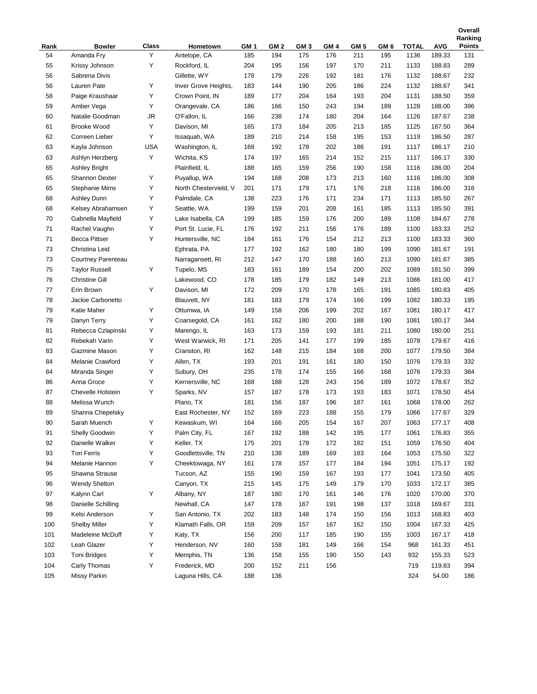|            |                             |            |                                         |             |                        |                        |             |                        |             |                      |                      | Ranking              |
|------------|-----------------------------|------------|-----------------------------------------|-------------|------------------------|------------------------|-------------|------------------------|-------------|----------------------|----------------------|----------------------|
| Rank<br>54 | <b>Bowler</b><br>Amanda Fry | Class<br>Y | Hometown                                | GM 1<br>185 | GM <sub>2</sub><br>194 | GM <sub>3</sub><br>175 | GM 4<br>176 | GM <sub>5</sub><br>211 | GM 6<br>195 | <b>TOTAL</b><br>1136 | <b>AVG</b><br>189.33 | <b>Points</b><br>131 |
| 55         | Krissy Johnson              | Υ          | Antelope, CA<br>Rockford, IL            | 204         | 195                    | 156                    | 197         | 170                    | 211         | 1133                 | 188.83               | 289                  |
| 56         | Sabrena Divis               |            | Gillette, WY                            | 178         | 179                    | 226                    | 192         | 181                    | 176         | 1132                 | 188.67               | 232                  |
| 56         | Lauren Pate                 | Υ          |                                         |             | 144                    | 190                    | 205         | 186                    | 224         | 1132                 | 188.67               | 341                  |
| 58         |                             | Υ          | Inver Grove Heights,<br>Crown Point, IN | 183<br>189  |                        | 204                    | 164         |                        | 204         |                      | 188.50               | 359                  |
|            | Paige Kraushaar             |            |                                         |             | 177                    |                        |             | 193                    |             | 1131                 |                      |                      |
| 59         | Amber Vega                  | Υ          | Orangevale, CA                          | 186         | 166                    | 150                    | 243         | 194                    | 189         | 1128                 | 188.00               | 396                  |
| 60         | Natalie Goodman             | JR<br>Υ    | O'Fallon, IL                            | 166         | 238                    | 174                    | 180         | 204                    | 164         | 1126                 | 187.67               | 238                  |
| 61         | <b>Brooke Wood</b>          |            | Davison, MI                             | 165         | 173                    | 184                    | 205         | 213                    | 185         | 1125                 | 187.50               | 364                  |
| 62         | Correen Lieber              | Υ          | Issaquah, WA                            | 189         | 210                    | 214                    | 158         | 195                    | 153         | 1119                 | 186.50               | 287                  |
| 63         | Kayla Johnson               | <b>USA</b> | Washington, IL                          | 168         | 192                    | 178                    | 202         | 186                    | 191         | 1117                 | 186.17               | 210                  |
| 63         | Ashlyn Herzberg             | Υ          | Wichita, KS                             | 174         | 197                    | 165                    | 214         | 152                    | 215         | 1117                 | 186.17               | 330                  |
| 65         | <b>Ashley Bright</b>        |            | Plainfield, IL<br>Puyallup, WA          | 188         | 165                    | 159                    | 256         | 190                    | 158         | 1116                 | 186.00               | 204                  |
| 65         | Shannon Dexter              | Υ          |                                         | 194         | 168                    | 208                    | 173         | 213                    | 160         | 1116                 | 186.00               | 308                  |
| 65         | Stephanie Mims              | Υ          | North Chestervield, V                   | 201         | 171                    | 179                    | 171         | 176                    | 218         | 1116                 | 186.00               | 316                  |
| 68         | Ashley Dunn                 | Υ          | Palmdale, CA                            | 138         | 223                    | 176                    | 171         | 234                    | 171         | 1113                 | 185.50               | 267                  |
| 68         | Kelsey Abrahamsen           | Υ          | Seattle, WA                             | 199         | 159                    | 201                    | 208         | 161                    | 185         | 1113                 | 185.50               | 391                  |
| 70         | Gabriella Mayfield          | Υ          | Lake Isabella, CA                       | 199         | 185                    | 159                    | 176         | 200                    | 189         | 1108                 | 184.67               | 278                  |
| 71         | Rachel Vaughn               | Υ          | Port St. Lucie, FL                      | 176         | 192                    | 211                    | 156         | 176                    | 189         | 1100                 | 183.33               | 252                  |
| 71         | <b>Becca Pittser</b>        | Υ          | Huntersville, NC                        | 184         | 161                    | 176                    | 154         | 212                    | 213         | 1100                 | 183.33               | 360                  |
| 73         | Christina Leid              |            | Ephrata, PA                             | 177         | 192                    | 162                    | 180         | 180                    | 199         | 1090                 | 181.67               | 191                  |
| 73         | Courtney Parenteau          |            | Narragansett, RI                        | 212         | 147                    | 170                    | 188         | 160                    | 213         | 1090                 | 181.67               | 385                  |
| 75         | <b>Taylor Russell</b>       | Υ          | Tupelo, MS                              | 183         | 161                    | 189                    | 154         | 200                    | 202         | 1089                 | 181.50               | 399                  |
| 76         | <b>Christine Gill</b>       |            | Lakewood, CO                            | 178         | 185                    | 179                    | 182         | 149                    | 213         | 1086                 | 181.00               | 417                  |
| 77         | Erin Brown                  | Υ          | Davison, MI                             | 172         | 209                    | 170                    | 178         | 165                    | 191         | 1085                 | 180.83               | 405                  |
| 78         | Jackie Carbonetto           |            | Blauvett, NY                            | 181         | 183                    | 179                    | 174         | 166                    | 199         | 1082                 | 180.33               | 195                  |
| 79         | Katie Maher                 | Υ          | Ottumwa, IA                             | 149         | 158                    | 206                    | 199         | 202                    | 167         | 1081                 | 180.17               | 417                  |
| 79         | Danyn Terry                 | Υ          | Coarsegold, CA                          | 161         | 162                    | 180                    | 200         | 188                    | 190         | 1081                 | 180.17               | 344                  |
| 81         | Rebecca Czlapinski          | Υ          | Marengo, IL                             | 163         | 173                    | 159                    | 193         | 181                    | 211         | 1080                 | 180.00               | 251                  |
| 82         | Rebekah Varin               | Υ          | West Warwick, RI                        | 171         | 205                    | 141                    | 177         | 199                    | 185         | 1078                 | 179.67               | 416                  |
| 83         | Gazmine Mason               | Υ          | Cranston, RI                            | 162         | 148                    | 215                    | 184         | 168                    | 200         | 1077                 | 179.50               | 384                  |
| 84         | Melanie Crawford            | Υ          | Allen, TX                               | 193         | 201                    | 191                    | 161         | 180                    | 150         | 1076                 | 179.33               | 332                  |
| 84         | Miranda Singer              | Υ          | Subury, OH                              | 235         | 178                    | 174                    | 155         | 166                    | 168         | 1076                 | 179.33               | 384                  |
| 86         | Anna Groce                  | Υ          | Kernersville, NC                        | 168         | 188                    | 128                    | 243         | 156                    | 189         | 1072                 | 178.67               | 352                  |
| 87         | Chevelle Holstein           | Υ          | Sparks, NV                              | 157         | 187                    | 178                    | 173         | 193                    | 183         | 1071                 | 178.50               | 454                  |
| 88         | Melissa Wunch               |            | Plano, TX                               | 181         | 156                    | 187                    | 196         | 187                    | 161         | 1068                 | 178.00               | 262                  |
| 89         | Shanna Chepelsky            |            | East Rochester, NY                      | 152         | 169                    | 223                    | 188         | 155                    | 179         | 1066                 | 177.67               | 329                  |
| 90         | Sarah Muench                | Υ          | Kewaskum, WI                            | 164         | 166                    | 205                    | 154         | 167                    | 207         | 1063                 | 177.17               | 408                  |
| 91         | Shelly Goodwin              | Υ          | Palm City, FL                           | 167         | 192                    | 188                    | 142         | 195                    | 177         | 1061                 | 176.83               | 355                  |
| 92         | Danielle Walker             | Υ          | Keller, TX                              | 175         | 201                    | 178                    | 172         | 182                    | 151         | 1059                 | 176.50               | 404                  |
| 93         | <b>Tori Ferris</b>          | Υ          | Goodlettsville, TN                      | 210         | 138                    | 189                    | 169         | 183                    | 164         | 1053                 | 175.50               | 322                  |
| 94         | Melanie Hannon              | Υ          | Cheektowaga, NY                         | 161         | 178                    | 157                    | 177         | 184                    | 194         | 1051                 | 175.17               | 192                  |
| 95         | Shawna Strause              |            | Tucson, AZ                              | 155         | 190                    | 159                    | 167         | 193                    | 177         | 1041                 | 173.50               | 405                  |
| 96         | <b>Wendy Shelton</b>        |            | Canyon, TX                              | 215         | 145                    | 175                    | 149         | 179                    | 170         | 1033                 | 172.17               | 385                  |
| 97         | Kalynn Carl                 | Υ          | Albany, NY                              | 187         | 180                    | 170                    | 161         | 146                    | 176         | 1020                 | 170.00               | 370                  |
| 98         | Danielle Schilling          |            | Newhall, CA                             | 147         | 178                    | 167                    | 191         | 198                    | 137         | 1018                 | 169.67               | 331                  |
| 99         | Kelsi Anderson              | Υ          | San Antonio, TX                         | 202         | 183                    | 148                    | 174         | 150                    | 156         | 1013                 | 168.83               | 403                  |
| 100        | <b>Shelby Miller</b>        | Υ          | Klamath Falls, OR                       | 159         | 209                    | 157                    | 167         | 162                    | 150         | 1004                 | 167.33               | 425                  |
| 101        | Madeleine McDuff            | Υ          | Katy, TX                                | 156         | 200                    | 117                    | 185         | 190                    | 155         | 1003                 | 167.17               | 418                  |
| 102        | Leah Glazer                 | Υ          | Henderson, NV                           | 160         | 158                    | 181                    | 149         | 166                    | 154         | 968                  | 161.33               | 451                  |
| 103        | <b>Toni Bridges</b>         | Υ          | Memphis, TN                             | 136         | 158                    | 155                    | 190         | 150                    | 143         | 932                  | 155.33               | 523                  |
| 104        | Carly Thomas                | Υ          | Frederick, MD                           | 200         | 152                    | 211                    | 156         |                        |             | 719                  | 119.83               | 394                  |
| 105        | <b>Missy Parkin</b>         |            | Laguna Hills, CA                        | 188         | 136                    |                        |             |                        |             | 324                  | 54.00                | 186                  |

**Overall**